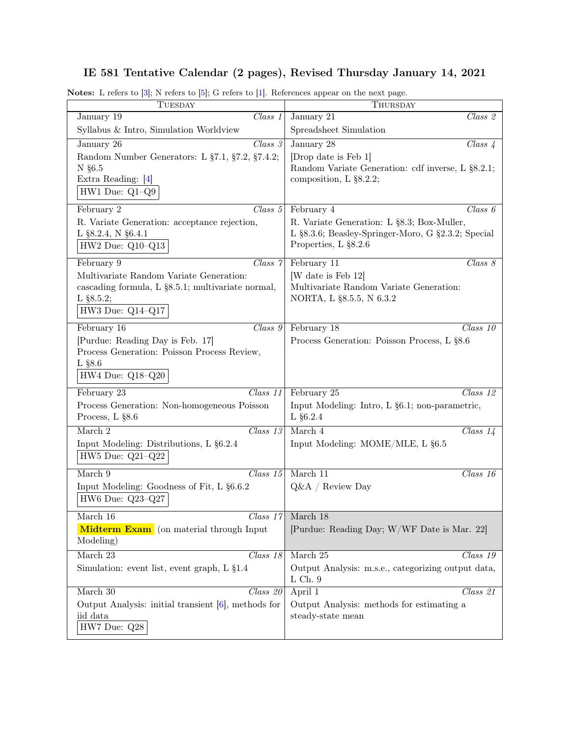## IE 581 Tentative Calendar (2 pages), Revised Thursday January 14, 2021

| TUESDAY                                                                                                                         | THURSDAY                                                                                            |
|---------------------------------------------------------------------------------------------------------------------------------|-----------------------------------------------------------------------------------------------------|
| January 19                                                                                                                      | January $\overline{21}$                                                                             |
| Class 1                                                                                                                         | Class 2                                                                                             |
| Syllabus & Intro, Simulation Worldview                                                                                          | Spreadsheet Simulation                                                                              |
| $Class\ 3$                                                                                                                      | January 28                                                                                          |
| January 26                                                                                                                      | $Class\ \mathcal{L}$                                                                                |
| Random Number Generators: L §7.1, §7.2, §7.4.2;<br>$N$ §6.5<br>Extra Reading: [4]<br>$HW1$ Due: $Q1-Q9$                         | [Drop date is Feb 1]<br>Random Variate Generation: cdf inverse, L §8.2.1;<br>composition, L §8.2.2; |
| February 2                                                                                                                      | February 4                                                                                          |
| $Class\ 5$                                                                                                                      | Class 6                                                                                             |
| R. Variate Generation: acceptance rejection,                                                                                    | R. Variate Generation: L §8.3; Box-Muller,                                                          |
| L §8.2.4, N §6.4.1                                                                                                              | L §8.3.6; Beasley-Springer-Moro, G §2.3.2; Special                                                  |
| $HW2$ Due: $Q10-Q13$                                                                                                            | Properties, L §8.2.6                                                                                |
| Class 7                                                                                                                         | Class 8                                                                                             |
| February 9                                                                                                                      | February 11                                                                                         |
| Multivariate Random Variate Generation:<br>cascading formula, L §8.5.1; multivariate normal,<br>L $§8.5.2;$<br>HW3 Due: Q14-Q17 | [W date is Feb 12]<br>Multivariate Random Variate Generation:<br>NORTA, L §8.5.5, N 6.3.2           |
| Class 9                                                                                                                         | February 18                                                                                         |
| February 16                                                                                                                     | $Class\ 10$                                                                                         |
| [Purdue: Reading Day is Feb. 17]<br>Process Generation: Poisson Process Review,<br>$L$ §8.6<br>HW4 Due: Q18-Q20                 | Process Generation: Poisson Process, L §8.6                                                         |
| February 23                                                                                                                     | February 25                                                                                         |
| $Class\ 11$                                                                                                                     | Class 12                                                                                            |
| Process Generation: Non-homogeneous Poisson                                                                                     | Input Modeling: Intro, L §6.1; non-parametric,                                                      |
| Process, L §8.6                                                                                                                 | $L$ §6.2.4                                                                                          |
| March 2                                                                                                                         | March 4                                                                                             |
| $Class\ 13$                                                                                                                     | $\overline{Class~14}$                                                                               |
| Input Modeling: Distributions, L §6.2.4<br>$HW5$ Due: $Q21-Q22$                                                                 | Input Modeling: MOME/MLE, L §6.5                                                                    |
| March 9                                                                                                                         | March $11$                                                                                          |
| Class 15                                                                                                                        | Class 16                                                                                            |
| Input Modeling: Goodness of Fit, L §6.6.2<br>HW6 Due: Q23-Q27                                                                   | $Q\&A /$ Review Day                                                                                 |
| March 16                                                                                                                        | $Class 17$ March 18                                                                                 |
| Midterm Exam (on material through Input<br>Modeling)                                                                            | [Purdue: Reading Day; W/WF Date is Mar. 22]                                                         |
| March 23                                                                                                                        | March 25                                                                                            |
| Class~18                                                                                                                        | Class 19                                                                                            |
| Simulation: event list, event graph, L §1.4                                                                                     | Output Analysis: m.s.e., categorizing output data,<br>$L$ Ch. $9$                                   |
| March $30\,$                                                                                                                    | Class 21                                                                                            |
| Class 20                                                                                                                        | April 1                                                                                             |
| Output Analysis: initial transient $[6]$ , methods for<br>iid data<br>HW7 Due: Q28                                              | Output Analysis: methods for estimating a<br>steady-state mean                                      |

Notes: L refers to [\[3\]](#page-1-0); N refers to [\[5\]](#page-1-1); G refers to [\[1\]](#page-1-2). References appear on the next page.